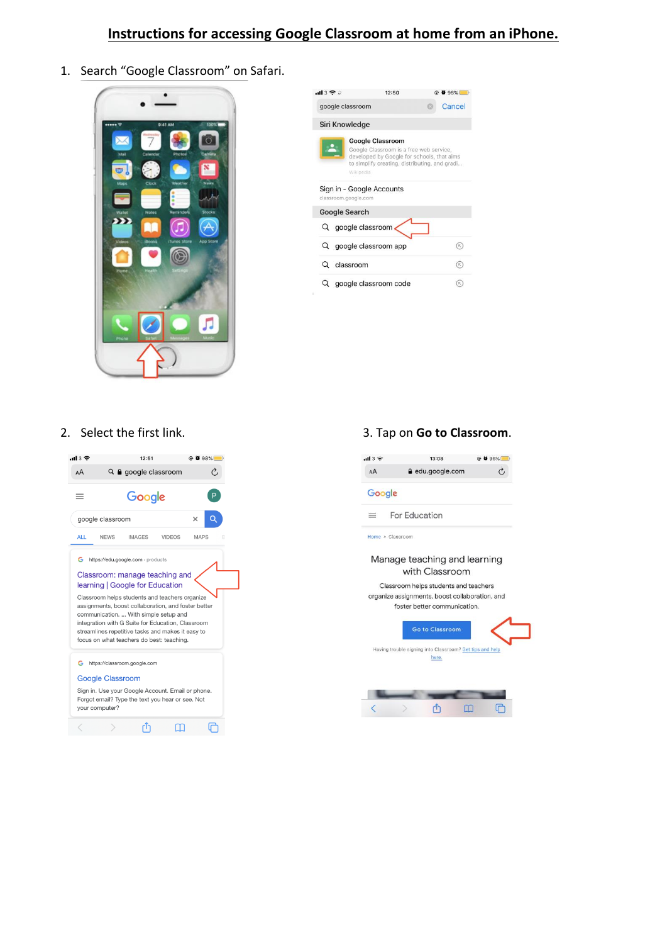# **Instructions for accessing Google Classroom at home from an iPhone.**

1. Search "Google Classroom" on Safari.



| 1137                    | 12:50                                                                                                                                                                          | @ 8 98% |
|-------------------------|--------------------------------------------------------------------------------------------------------------------------------------------------------------------------------|---------|
| google classroom        |                                                                                                                                                                                | Cancel  |
| Siri Knowledge          |                                                                                                                                                                                |         |
|                         | <b>Google Classroom</b><br>Google Classroom is a free web service,<br>developed by Google for schools, that aims<br>to simplify creating, distributing, and gradi<br>Wikipedia |         |
| classroom.google.com    | Sign in - Google Accounts                                                                                                                                                      |         |
| <b>Google Search</b>    |                                                                                                                                                                                |         |
|                         | Q google classroom                                                                                                                                                             |         |
|                         | Q google classroom app                                                                                                                                                         | R       |
| Q classroom             |                                                                                                                                                                                |         |
| Q google classroom code |                                                                                                                                                                                | ĸ       |



## 2. Select the first link. 3. Tap on **Go to Classroom**.



#### Manage teaching and learning with Classroom

Classroom helps students and teachers organize assignments, boost collaboration, and foster better communication.



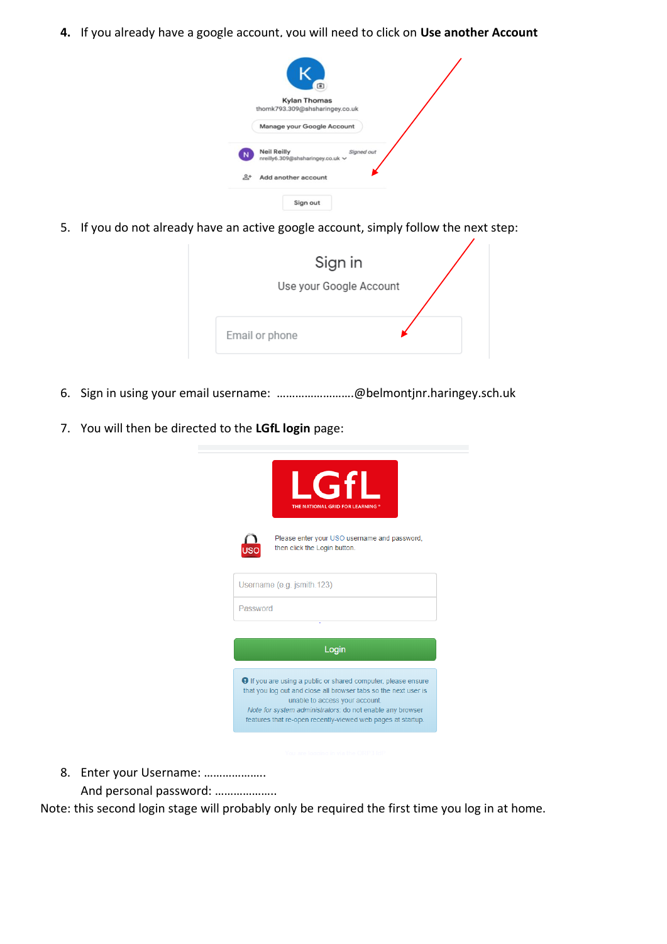**4.** If you already have a google account, you will need to click on **Use another Account**

|                | 喧                                                                    |  |
|----------------|----------------------------------------------------------------------|--|
|                | <b>Kylan Thomas</b>                                                  |  |
|                | thomk793.309@shsharingey.co.uk                                       |  |
|                | Manage your Google Account                                           |  |
| N              | <b>Neil Reilly</b><br>Signed out<br>nreilly6.309@shsharingey.co.uk ~ |  |
| $\mathbb{R}^+$ | Add another account                                                  |  |
|                | Sign out                                                             |  |

5. If you do not already have an active google account, simply follow the next step:

| Sign in                 |  |
|-------------------------|--|
| Use your Google Account |  |
|                         |  |
| Email or phone          |  |

- 6. Sign in using your email username: …………………….@belmontjnr.haringey.sch.uk
- 7. You will then be directed to the **LGfL login** page:

|          | Gfl<br>THE NATIONAL GRID FOR LEARNING                                                                                                                                                                                                                                                                 |
|----------|-------------------------------------------------------------------------------------------------------------------------------------------------------------------------------------------------------------------------------------------------------------------------------------------------------|
|          | Please enter your USO username and password,<br>then click the Login button.                                                                                                                                                                                                                          |
|          | Username (e.g. jsmith.123)                                                                                                                                                                                                                                                                            |
| Password |                                                                                                                                                                                                                                                                                                       |
|          |                                                                                                                                                                                                                                                                                                       |
|          | Login                                                                                                                                                                                                                                                                                                 |
|          | <b>O</b> If you are using a public or shared computer, please ensure<br>that you log out and close all browser tabs so the next user is<br>unable to access your account.<br>Note for system administrators: do not enable any browser<br>features that re-open recently-viewed web pages at startup. |

8. Enter your Username: ………………..

And personal password: ………………..

Note: this second login stage will probably only be required the first time you log in at home.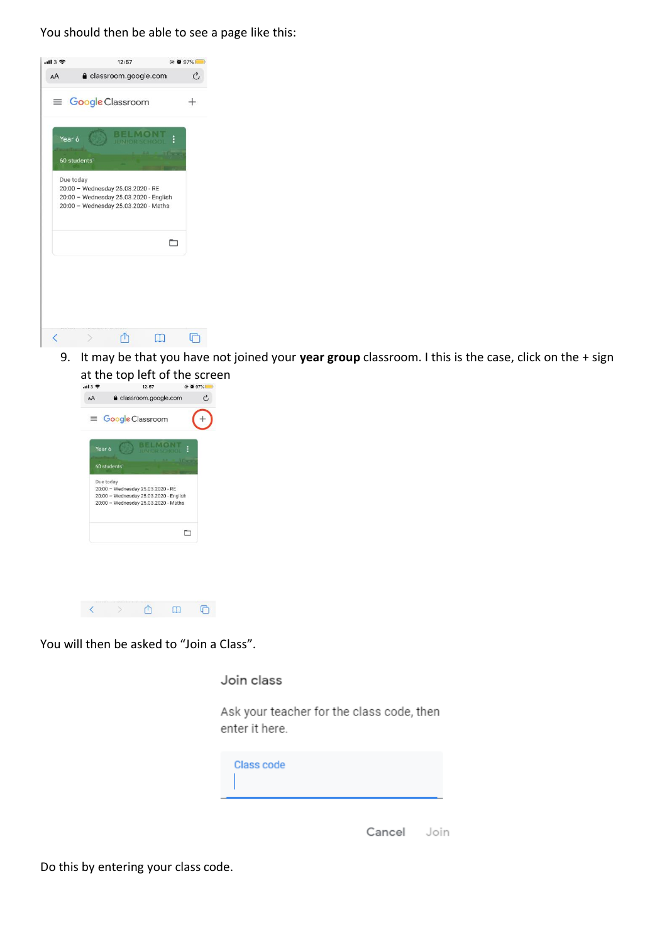You should then be able to see a page like this:



9. It may be that you have not joined your **year group** classroom. I this is the case, click on the + sign



You will then be asked to "Join a Class".

Join class

Ask your teacher for the class code, then enter it here.



Cancel Join

Do this by entering your class code.